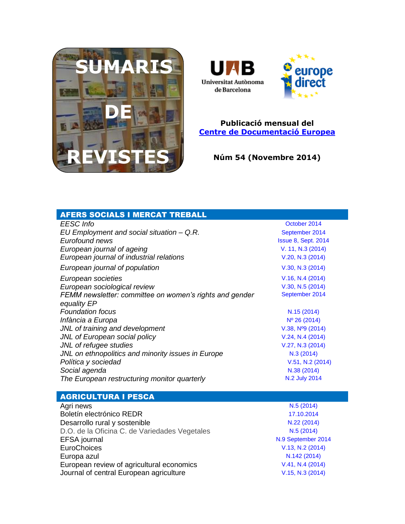



### **Publicació mensual del [Centre de Documentació Europea](http://www.uab.cat/biblioteques/cde/)**

**Núm 54 (Novembre 2014)**

| <b>AFERS SOCIALS I MERCAT TREBALL</b>                   |                            |
|---------------------------------------------------------|----------------------------|
| <b>EESC</b> Info                                        | October 2014               |
| EU Employment and social situation - Q.R.               | September 2014             |
| Eurofound news                                          | <b>Issue 8, Sept. 2014</b> |
| European journal of ageing                              | V. 11, N.3 (2014)          |
| European journal of industrial relations                | V.20, N.3 (2014)           |
| European journal of population                          | V.30, N.3 (2014)           |
| European societies                                      | V.16, N.4 (2014)           |
| European sociological review                            | V.30, N.5 (2014)           |
| FEMM newsletter: committee on women's rights and gender | September 2014             |
| equality EP<br><b>Foundation focus</b>                  | N.15 (2014)                |
| Infància a Europa                                       | $N^{\circ} 26 (2014)$      |
| JNL of training and development                         | $V.38, N°9$ (2014)         |
| JNL of European social policy                           | V.24, N.4 (2014)           |
| JNL of refugee studies                                  | V.27, N.3 (2014)           |
| JNL on ethnopolitics and minority issues in Europe      | N.3(2014)                  |
| Política y sociedad                                     | V.51, N.2 (2014)           |
| Social agenda                                           | N.38 (2014)                |
| The European restructuring monitor quarterly            | N.2 July 2014              |
|                                                         |                            |
| <b>AGRICULTURA I PESCA</b>                              |                            |
| Agri news                                               | N.5(2014)                  |
| Boletín electrónico REDR                                | 17.10.2014                 |
| Desarrollo rural y sostenible                           | N.22 (2014)                |
| D.O. de la Oficina C. de Variedades Vegetales           | N.5(2014)                  |
| <b>EFSA</b> journal                                     | N.9 September 2014         |
| <b>EuroChoices</b>                                      | V.13, N.2 (2014)           |
| Europa azul                                             | N.142 (2014)               |
| European review of agricultural economics               | V.41, N.4 (2014)           |
| Journal of central European agriculture                 | V.15, N.3 (2014)           |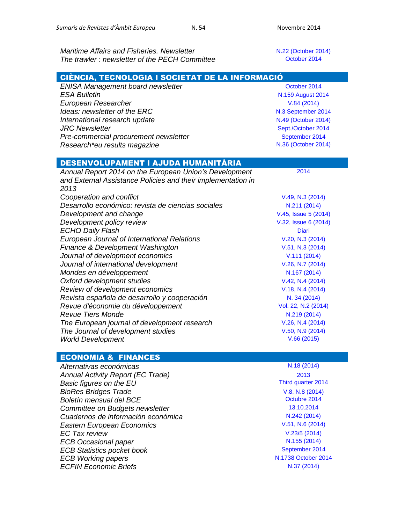*Maritime Affairs and Fisheries. Newsletter* Maritime Affairs and Fisheries. Newsletter **N.22** [\(October 2014\)](http://ec.europa.eu/information_society/newsroom/cf/mare/newsletter-specific-archive-issue.cfm?newsletter_service_id=114&newsletter_issue_id=240&page=1&fullDate=Tue%2014%20Oct%202014) **The trawler : newsletter of the PECH Committee**  The trawler 2014

| CIÈNCIA, TECNOLOGIA I SOCIETAT DE LA INFORMACIÓ              |                      |  |
|--------------------------------------------------------------|----------------------|--|
| <b>ENISA Management board newsletter</b>                     | October 2014         |  |
| <b>ESA Bulletin</b>                                          | N.159 August 2014    |  |
| European Researcher                                          | V.84(2014)           |  |
| Ideas: newsletter of the ERC                                 | N.3 September 2014   |  |
| International research update                                | N.49 (October 2014)  |  |
| <b>JRC</b> Newsletter                                        | Sept./October 2014   |  |
| Pre-commercial procurement newsletter                        | September 2014       |  |
| Research*eu results magazine                                 | N.36 (October 2014)  |  |
|                                                              |                      |  |
| DESENVOLUPAMENT I AJUDA HUMANITÀRIA                          |                      |  |
| Annual Report 2014 on the European Union's Development       | 2014                 |  |
| and External Assistance Policies and their implementation in |                      |  |
| 2013                                                         |                      |  |
| Cooperation and conflict                                     | V.49, N.3 (2014)     |  |
| Desarrollo económico: revista de ciencias sociales           | N.211 (2014)         |  |
| Development and change                                       | V.45, Issue 5 (2014) |  |
| Development policy review                                    | V.32, Issue 6 (2014) |  |
| <b>ECHO Daily Flash</b>                                      | <b>Diari</b>         |  |
| European Journal of International Relations                  | V.20, N.3 (2014)     |  |
| Finance & Development Washington                             | V.51, N.3 (2014)     |  |
| Journal of development economics                             | V.111(2014)          |  |
| Journal of international development                         | V.26, N.7 (2014)     |  |
| Mondes en développement                                      | N.167 (2014)         |  |
| Oxford development studies                                   | V.42, N.4 (2014)     |  |
| Review of development economics                              | V.18, N.4 (2014)     |  |
| Revista española de desarrollo y cooperación                 | N. 34 (2014)         |  |
| Revue d'économie du développement                            | Vol. 22, N.2 (2014)  |  |
| <b>Revue Tiers Monde</b>                                     | N.219 (2014)         |  |
| The European journal of development research                 | V.26, N.4 (2014)     |  |
| The Journal of development studies                           | $V.50, N.9$ (2014)   |  |
| <b>World Development</b>                                     | V.66(2015)           |  |

### ECONOMIA & FINANCES

*Alternativas económicas* N.18 [\(2014\)](http://alternativaseconomicas.coop/mensual) *Annual Activity Report (EC Trade)* [2013](http://trade.ec.europa.eu/doclib/docs/2014/july/tradoc_152711.pdf) **Basic figures on the EU BioRes Bridges Trade** [V.8, N.8](http://www.ictsd.org/bridges-news/biores/issue-archive/bridging-the-gaps-in-biodiversity-conservation-and-use) (2014) **Boletín mensual del BCE Calculation del CE Calculation de la Contra del Cerceiro de la Contra del Cerceiro de la Contra de la Contra de la Contra de la Contra de la Contra de la Contra de la Contra de la Contra de la** *Committee on Budgets newsletter* [13.10.2014](http://www.europarl.europa.eu/document/activities/cont/201410/20141013ATT90945/20141013ATT90945EN.pdf) **Cuadernos de información económica** como existencia en el N.242 [\(2014\)](http://www.funcas.es/publicaciones/Sumario.aspx?IdRef=3-06242) *Eastern European Economics* [V.51, N.6](http://www.scopus.com/results/results.url?sort=plf-f&src=s&imp=t&sid=1496456FE3B571EADC80F006FED0D92C.aqHV0EoE4xlIF3hgVWgA%3a80&sot=br&sdt=a&sl=56&s=SOURCE-ID%2819458%29+AND+PUBYEAR+IS+2014+AND+NOT+DOCTYPE%28ip%29&txGid=1496456FE3B571EADC80F006FED0D92C.aqH) (2014) *EC Tax review* [V.23/5](http://www.kluwerlawonline.com/toc.php?area=Journals&mode=bypub&level=5&values=Journals~~EC+Tax+Review~Volume+23+%282014%29) (2014) *ECB Occasional paper* N.155 [\(2014\)](http://www.ecb.europa.eu/pub/pdf/scpops/ecbop155.pdf)<br>*ECB Statistics pocket book* example the statistic statistics of the statistic statistics of the statistic statistic *ECB Statistics pocket book* **[September 2014](http://www.ecb.europa.eu/pub/pdf/stapobo/spb201409en.pdf)**<br>ECB Working papers **September 2014**<br>N.1738 October 2014 *ECB Working papers ECFIN Economic Briefs* **N.37** [\(2014\)](http://ec.europa.eu/economy_finance/publications/economic_briefs/2014/eb37_en.htm)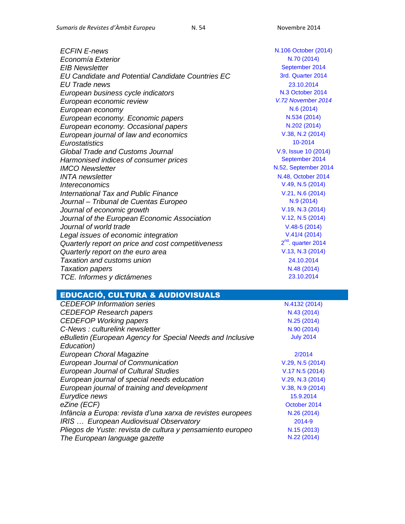| <b>ECFIN E-news</b>                                | N.106 October (2014) |
|----------------------------------------------------|----------------------|
| Economía Exterior                                  | N.70 (2014)          |
| <b>EIB Newsletter</b>                              | September 2014       |
| EU Candidate and Potential Candidate Countries EC  | 3rd. Quarter 2014    |
| EU Trade news                                      | 23.10.2014           |
| European business cycle indicators                 | N.3 October 2014     |
| European economic review                           | V.72 November 2014   |
| European economy                                   | N.6(2014)            |
| European economy. Economic papers                  | N.534 (2014)         |
| European economy. Occasional papers                | N.202 (2014)         |
| European journal of law and economics              | V.38, N.2 (2014)     |
| Eurostatistics                                     | 10-2014              |
| Global Trade and Customs Journal                   | V.9, Issue 10 (2014) |
| Harmonised indices of consumer prices              | September 2014       |
| <b>IMCO</b> Newsletter                             | N.52, September 2014 |
| <b>INTA</b> newsletter                             | N.48, October 2014   |
| <i><u><b>Intereconomics</b></u></i>                | V.49, N.5 (2014)     |
| International Tax and Public Finance               | V.21, N.6 (2014)     |
| Journal - Tribunal de Cuentas Europeo              | N.9(2014)            |
| Journal of economic growth                         | V.19, N.3 (2014)     |
| Journal of the European Economic Association       | V.12, N.5 (2014)     |
| Journal of world trade                             | $V.48-5(2014)$       |
| Legal issues of economic integration               | V.41/4(2014)         |
| Quarterly report on price and cost competitiveness | $2nd$ . quarter 2014 |
| Quarterly report on the euro area                  | V.13, N.3 (2014)     |
| <b>Taxation and customs union</b>                  | 24.10.2014           |
| <b>Taxation papers</b>                             | N.48 (2014)          |
| TCE. Informes y dictámenes                         | 23.10.2014           |

# EDUCACIÓ, CULTURA & AUDIOVISUALS

| <b>CEDEFOP</b> Information series                           | N.4132 (2014)    |
|-------------------------------------------------------------|------------------|
| <b>CEDEFOP Research papers</b>                              | N.43 (2014)      |
| <b>CEDEFOP Working papers</b>                               | N.25 (2014)      |
| C-News: culturelink newsletter                              | N.90 (2014)      |
| eBulletin (European Agency for Special Needs and Inclusive  | <b>July 2014</b> |
| Education)                                                  |                  |
| European Choral Magazine                                    | 2/2014           |
| European Journal of Communication                           | V.29, N.5 (2014) |
| <b>European Journal of Cultural Studies</b>                 | V.17 N.5 (2014)  |
| European journal of special needs education                 | V.29, N.3 (2014) |
| European journal of training and development                | V.38, N.9 (2014) |
| Eurydice news                                               | 15.9.2014        |
| eZine (ECF)                                                 | October 2014     |
| Infància a Europa: revista d'una xarxa de revistes europees | N.26 (2014)      |
| IRIS  European Audiovisual Observatory                      | 2014-9           |
| Pliegos de Yuste: revista de cultura y pensamiento europeo  | N.15 (2013)      |
| The European language gazette                               | N.22 (2014)      |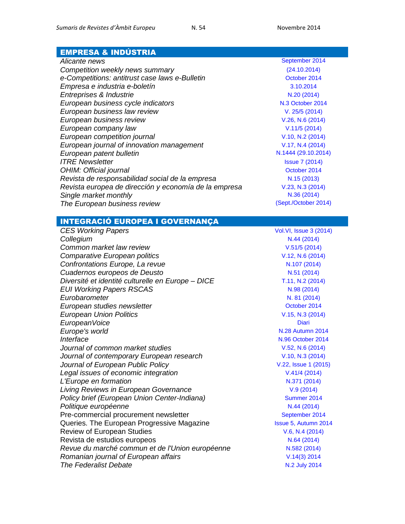### EMPRESA & INDÚSTRIA

| Competition weekly news summary                       | (24.10.2014)         |
|-------------------------------------------------------|----------------------|
| e-Competitions: antitrust case laws e-Bulletin        | October 2014         |
| Empresa e industria e-boletín                         | 3.10.2014            |
| Entreprises & Industrie                               | N.20 (2014)          |
| European business cycle indicators                    | N.3 October 20       |
| European business law review                          | V. 25/5 (2014        |
| European business review                              | V.26, N.6 (201       |
| European company law                                  | V.11/5(2014)         |
| European competition journal                          | V.10, N.2 (201       |
| European journal of innovation management             | V.17, N.4 (201       |
| European patent bulletin                              | N.1444 (29.10.2)     |
| <b>ITRE Newsletter</b>                                | <b>Issue 7 (2014</b> |
| OHIM: Official journal                                | October 2014         |
| Revista de responsabilidad social de la empresa       | N.15 (2013)          |
| Revista europea de dirección y economía de la empresa | V.23, N.3 (201       |
| Single market monthly                                 | N.36 (2014)          |
| The European business review                          | (Sept./October 2     |
|                                                       |                      |

**[September 2014](https://oami.europa.eu/tunnel-web/secure/webdav/guest/document_library/contentPdfs/about_ohim/alicante_news/alicantenews_september_2014_en.pdf)** *Competition weekly news summary* [\(24.10.2014\)](http://ec.europa.eu/competition/publications/weekly_news_summary/2014_10_24.html) *e-Competitions: antitrust case laws e-Bulletin* [October 2014](http://www.concurrences.com/Bulletin/?lang=fr) *European business cycle indicators* N.3 [October 2014](http://ec.europa.eu/economy_finance/publications/cycle_indicators/2014/03_en.htm) *European business law review* V. 25/5 [\(2014\)](http://www.kluwerlawonline.com/toc.php?area=Journals&mode=bypub&level=5&values=Journals~~European+Business+Law+Review~Volume+25+%282014%29) *[V.26, N.6](http://www.emeraldinsight.com/toc/ebr/26/6) (2014) European company law* [V.11/5](http://www.kluwerlawonline.com/toc.php?area=Journals&mode=bypub&level=5&values=Journals~~European+Company+Law~Volume+11+%282014%29) (2014) *[V.10, N.2](http://www.ingentaconnect.com/content/hart/ecj/2014/00000010/00000002;jsessionid=1vz8ljb4z9t55.alexandra) (2014) European journal of innovation management* [V.17, N.4](http://www.emeraldinsight.com/toc/ejim/17/4) (2014) *European patent bulletin* N.1444 [\(29.10.2014\)](http://application.epo.org/bulletin/bulletin1444.pdf) **[Issue 7 \(2014\)](http://www.europarl.europa.eu/document/activities/cont/201409/20140923ATT89524/20140923ATT89524EN.pdf)** [October 2014](https://oami.europa.eu/ohimportal/en/official-journal) *Revista de responsabilidad social de la empresa* N.15 [\(2013\)](http://www.luisvivesces.org/rse/) *Revista europea de dirección y economía de la empresa* [V.23, N.3](http://dialnet.unirioja.es/servlet/revista?codigo=1231) (2014) *The European business review* [\(Sept./October 2014\)](http://www.europeanbusinessreview.com/?cat=87)

#### INTEGRACIÓ EUROPEA I GOVERNANÇA

*CES Working Papers* [Vol.VI, Issue 3 \(2014\)](http://www.ceswp.uaic.ro/CESWPcurrent.htm) **Collegium N.44 [\(2014\)](https://www.coleurope.eu/sites/default/files/uploads/page/collegium_44.pdf)** *Common market law review* [V.51/5](http://www.kluwerlawonline.com/toc.php?area=Journals&mode=bypub&level=5&values=Journals~~Common+Market+Law+Review~Volume+51+%282014%29) (2014) *Comparative European politics* [V.12, N.6](http://search.proquest.com/publicationissue/ED8459A011A54288PQ/$5bqueryType$3dpubbrowseDescending:OS$3b+sortType$3dpageNumberAsc$3b+searchTerms$3d$5b$3cAND$7cpubid:43953$3e$5d$3b+searchParameters$3d$7binstance$3dprod.academic$7d$3b+metaData$3d$7bpublicatio) (2014) **Confrontations Europe, La revue**  N.107 [\(2014\)](http://www.confrontations.org/fr/nos-publications/confrontations-europe-la-revue/2291-nouveau-depart-investissement-de-long-terme-revue-n-107-octobre-decembre-2014) *Cuadernos europeos de Deusto* N.51 [\(2014\)](http://dialnet.unirioja.es/servlet/revista?codigo=385) *Diversité et identité culturelle en Europe – DICE* [T.11, N.2](http://www.mnlr.ro/documenteupload/editura/fisiere/dice_11_2_abstracts.pdf) (2014) *EUI Working Papers RSCAS* N.98 [\(2014\)](http://cadmus.eui.eu/handle/1814/33311) *Eurobarometer* N. 81 [\(2014\)](http://ec.europa.eu/public_opinion/archives/eb/eb81/eb81_en.htm) **European studies newsletter CEV and SCENE 2014 CEV and SCENE 2014** *European Union Politics* [V.15, N.3](http://eup.sagepub.com/content/15/3.toc) (2014) *EuropeanVoice* [Diari](http://www.europeanvoice.com/) Diari Diari Diari Diari Diari Diari Diari Diari Diari Diari Diari Diari Diari Diari Diari Diari Diari Diari Diari Diari Diari Diari Diari Diari Diari Diari Diari Diari Diari Diari Diari Diari Diari **Europe's world [N.28 Autumn 2014](http://europesworld.org/issues/autumn-2014-2/) Interface** [N.96 October 2014](http://www.confrontations.org/en/publications-en/interface) *Journal of common market studies*  $V.52, N.6 (2014)$  $V.52, N.6 (2014)$ *Journal of contemporary European research*  $V.10, N.3$  (2014) *Journal of European Public Policy* **[V.22, Issue 1](http://www.tandfonline.com/toc/rjpp20/current#.VFPhmmer1I5) (2015)** *V.22, Issue 1 (2015) Legal issues of economic integration* [V.41/4](http://www.kluwerlawonline.com/toc.php?area=Journals&mode=bypub&level=5&values=Journals~~Legal+Issues+of+Economic+Integration~Volume+41+%282014%29) (2014) *L'Europe en formation* and the set of the set of the N.371 [\(2014\)](http://www.cairn.info/revue-l-europe-en-formation-2014-1.htm) *Living Reviews in European Governance* V.9 [\(2014\)](http://europeangovernance.livingreviews.org/Articles/) **Policy brief (European Union Center-Indiana) [Summer 2014](http://www.indiana.edu/~euroinst/sites/default/files/Policy%20Brief%20ANNA%20W.pdf) Politique européenne N.44 [\(2014\)](http://www.cairn.info/revue-politique-europeenne-2014-2.htm)** N.44 (2014) Pre-commercial procurement newsletter [September 2014](http://cordis.europa.eu/fp7/ict/pcp/docs/pcp-newsletter-201409_en.pdf) Queries. The European Progressive Magazine **Internal 2014** [Issue 5, Autumn](http://www.queries-feps.eu/PDF%20Complet%20-%20Queries%205.pdf) 2014 Review of European Studies [V.6, N.4](http://www.ccsenet.org/journal/index.php/res/index) (2014) Revista de estudios europeos  $N.64 (2014)$  $N.64 (2014)$ *Revue du marché commun et de l'Union européenne* N.582 [\(2014\)](http://dialnet.unirioja.es/servlet/revista?codigo=1275) **Romanian journal of European affairs** *V***.14(3) 2014 The Federalist Debate [N.2 July 2014](http://www.federalist-debate.org/index.php/current-issue)**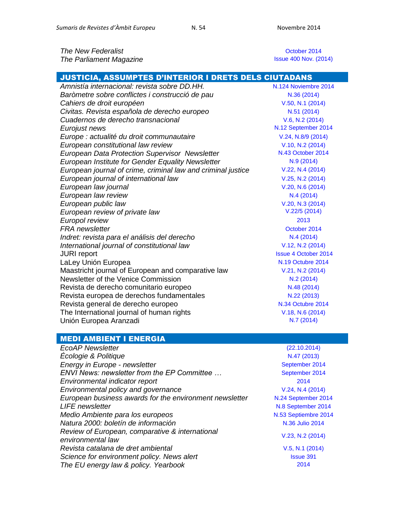**The New Federalist Container 2014 [October 2014](http://www.thenewfederalist.eu/)** *The Parliament Magazine* 

[Issue 400](https://www.theparliamentmagazine.eu/articles/magazines/issue-400-3-november-2014) Nov. (2014)

| JUSTICIA, ASSUMPTES D'INTERIOR I DRETS DELS CIUTADANS        |                             |
|--------------------------------------------------------------|-----------------------------|
| Amnistía internacional: revista sobre DD.HH.                 | N.124 Noviembre 2014        |
| Baròmetre sobre conflictes i construcció de pau              | N.36 (2014)                 |
| Cahiers de droit européen                                    | V.50, N.1 (2014)            |
| Civitas. Revista española de derecho europeo                 | N.51 (2014)                 |
| Cuadernos de derecho transnacional                           | $V.6$ , N.2 (2014)          |
| Eurojust news                                                | N.12 September 2014         |
| Europe : actualité du droit communautaire                    | V.24, N.8/9 (2014)          |
| European constitutional law review                           | V.10, N.2 (2014)            |
| <b>European Data Protection Supervisor Newsletter</b>        | N.43 October 2014           |
| European Institute for Gender Equality Newsletter            | N.9(2014)                   |
| European journal of crime, criminal law and criminal justice | V.22, N.4 (2014)            |
| European journal of international law                        | V.25, N.2 (2014)            |
| European law journal                                         | V.20, N.6 (2014)            |
| European law review                                          | N.4(2014)                   |
| European public law                                          | V.20, N.3 (2014)            |
| European review of private law                               | V.22/5(2014)                |
| Europol review                                               | 2013                        |
| <b>FRA</b> newsletter                                        | October 2014                |
| Indret: revista para el análisis del derecho                 | N.4(2014)                   |
| International journal of constitutional law                  | V.12, N.2 (2014)            |
| <b>JURI</b> report                                           | <b>Issue 4 October 2014</b> |
| LaLey Unión Europea                                          | N.19 Octubre 2014           |
| Maastricht journal of European and comparative law           | V.21, N.2 (2014)            |
| Newsletter of the Venice Commission                          | N.2(2014)                   |
| Revista de derecho comunitario europeo                       | N.48 (2014)                 |
| Revista europea de derechos fundamentales                    | N.22 (2013)                 |
| Revista general de derecho europeo                           | N.34 Octubre 2014           |
| The International journal of human rights                    | V.18, N.6 (2014)            |
| Unión Europea Aranzadi                                       | N.7 (2014)                  |

#### MEDI AMBIENT I ENERGIA

*EcoAP Newsletter* [\(22.10.2014\)](http://www.ecoapwebsite.eu/ecoAppNewsletter/faces/newsletter/preview_newsletter.jsp?id=326) *Écologie & Politique* **N.47** [\(2013\)](http://www.cairn-int.info/revue-ecologie-et-politique-2013-2.htm) **Energy in Europe - newsletter** [September 2014](http://ec.europa.eu/energy/newsletter/20141003_newsletter.htm) *ENVI News: newsletter from the EP Committee ...* [September 2014](http://www.europarl.europa.eu/document/activities/cont/201409/20140923ATT89646/20140923ATT89646EN.pdf) *Environmental indicator report* [2014](http://www.eea.europa.eu/publications/environmental-indicator-report-2014) *Environmental policy and governance* [V.24, N.4](http://search.proquest.com/publicationissue/FC218F3800D2436DPQ/$5bqueryType$3dpubbrowseDescending:OS$3b+sortType$3dpageNumberAsc$3b+searchTerms$3d$5b$3cAND$7cpubid:33039$3e$5d$3b+searchParameters$3d$7binstance$3dprod.academic$7d$3b+metaData$3d$7bpublicatio) (2014) *European business awards for the environment newsletter* N.24 [September 2014](http://us3.campaign-archive1.com/?u=a36c66aa5f603c5a049458976&id=79ac63e19f) **LIFE newsletter [N.8 September 2014](http://ec.europa.eu/environment/life/news/newsletter/index.htm)** *Medio Ambiente para los europeos*  $N.53$  [Septiembre 2014](http://ec.europa.eu/environment/news/efe/docs/efe53/mag-efe-53_es.pdf) **Natura 2000: boletín de información Natura 2000: Natura 2000: A la propia a la propia de la propia de la propia de la propia de la propia de la propia de la propia de la propia de la propia de la propia de la propia de** *Review of European, comparative & international environmental law Revista catalana de dret ambiental* [V.5, N.1](http://www.rcda.cat/index.php/rcda/issue/view/9) (2014) *Science for environment policy. News alert* environment *policy.* News alert environment of the FIT energy and the Sun of the FIT energy and the Sun of the FIT energy and the Sun of the FIT energy and the Sun of the FIT e *The EU energy law & policy. Yearbook* 

[V.23, N.2](http://onlinelibrary.wiley.com/doi/10.1111/reel.2014.23.issue-2/issuetoc) (2014)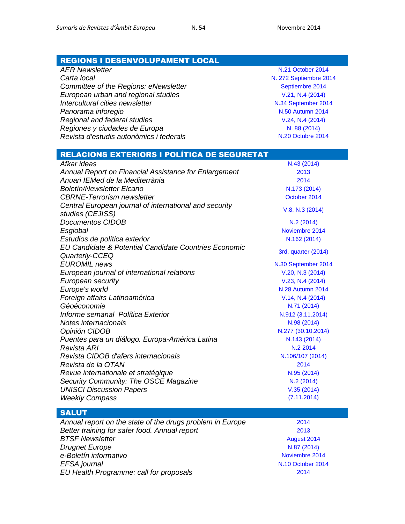#### REGIONS I DESENVOLUPAMENT LOCAL

*AER Newsletter* [N.21 October 2014](http://www.aer.eu/publications/newsletter/2014/aer-newsletter-n21-102014.html) *Carta local* N. [272 Septiembre 2014](http://www.cartalocal.es/CartaLocal/Front/Version_impresa/VersionImpresa/_sYcniRvuy5l6V01YGndaV5J7VnlUPFCuDdxYrlCo1N0) **Committee of the Regions: eNewsletter** [Septiembre 2014](http://cor.europa.eu/en/news/Pages/enewsletter.aspx) *European urban and regional studies*  $V.21, N.4$  (2014) *Intercultural cities newsletter* **[N.34 September 2014](http://www.coe.int/t/dg4/cultureheritage/culture/Cities/Newsletter/newsletter34/newsletter34_en.asp) Panorama inforegio [N.50 Autumn 2014](http://ec.europa.eu/regional_policy/sources/docgener/panorama/pdf/mag50/mag50_en.pdf)** *Regional and federal studies* [V.24, N.4](http://www.tandfonline.com/doi/full/10.1080/13597566.2014.954779#.VFkY32er1I4) (2014) *Regiones y ciudades de Europa*<br> *Revista d'estudis autonòmics i federals*<br>
N. 88 [\(2014\)](http://cor.europa.eu/es/news/regions-and-cities-of-europe/Pages/regions-cities-of-europe-88.aspx)<br>
N. 20 Octubre 2014 *Revista d'estudis autonòmics i federals* 

## RELACIONS EXTERIORS I POLÍTICA DE SEGURETAT

| Afkar ideas                                                                | N.43 (2014)             |
|----------------------------------------------------------------------------|-------------------------|
| Annual Report on Financial Assistance for Enlargement                      | 2013                    |
| Anuari IEMed de la Mediterrània                                            | 2014                    |
| <b>Boletín/Newsletter Elcano</b>                                           | N.173 (2014)            |
| <b>CBRNE-Terrorism newsletter</b>                                          | October 2014            |
| Central European journal of international and security<br>studies (CEJISS) | V.8, N.3 (2014)         |
| <b>Documentos CIDOB</b>                                                    | N.2 (2014)              |
| Esglobal                                                                   | Noviembre 2014          |
| Estudios de política exterior                                              | N.162 (2014)            |
| EU Candidate & Potential Candidate Countries Economic<br>Quarterly-CCEQ    | 3rd. quarter (2014)     |
| <b>EUROMIL</b> news                                                        | N.30 September 2014     |
| European journal of international relations                                | V.20, N.3 (2014)        |
| European security                                                          | V.23, N.4 (2014)        |
| Europe's world                                                             | <b>N.28 Autumn 2014</b> |
| Foreign affairs Latinoamérica                                              | V.14, N.4 (2014)        |
| Géoéconomie                                                                | N.71 (2014)             |
| Informe semanal Política Exterior                                          | N.912 (3.11.2014)       |
| Notes internacionals                                                       | N.98 (2014)             |
| Opinión CIDOB                                                              | N.277 (30.10.2014)      |
| Puentes para un diálogo. Europa-América Latina                             | N.143 (2014)            |
| Revista ARI                                                                | N.2 2014                |
| Revista CIDOB d'afers internacionals                                       | N.106/107 (2014)        |
| Revista de la OTAN                                                         | 2014                    |
| Revue internationale et stratégique                                        | N.95 (2014)             |
| Security Community: The OSCE Magazine                                      | N.2 (2014)              |
| <b>UNISCI Discussion Papers</b>                                            | V.35(2014)              |
| <b>Weekly Compass</b>                                                      | (7.11.2014)             |

#### **SALUT**

| Annual report on the state of the drugs problem in Europe | 2014            |
|-----------------------------------------------------------|-----------------|
| Better training for safer food. Annual report             | 2013            |
| <b>BTSF Newsletter</b>                                    | <b>August 2</b> |
| <b>Drugnet Europe</b>                                     | N.87 (20        |
| e-Boletín informativo                                     | Noviembre       |
| EFSA journal                                              | N.10 Octobe     |
| EU Health Programme: call for proposals                   | 2014            |

**[August 2014](http://ec.europa.eu/chafea/news/news342.html)** *Drugnet Europe* N.87 [\(2014\)](http://www.emcdda.europa.eu/publications/drugnet/87) **[Noviembre 2014](http://www.cec.consumo-inc.es/adjuntos/eboletines/396.pdf)** *EFSA journal* [N.10 October 2014](http://www.efsa.europa.eu/en/efsajournal/latest.htm)